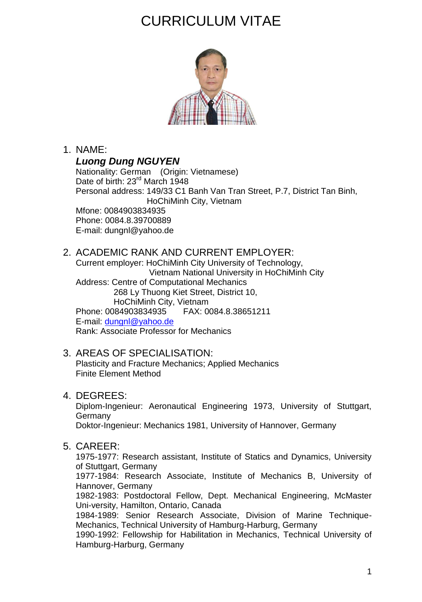# CURRICULUM VITAE



### 1. NAME:

*Luong Dung NGUYEN*

Nationality: German (Origin: Vietnamese) Date of birth: 23<sup>rd</sup> March 1948 Personal address: 149/33 C1 Banh Van Tran Street, P.7, District Tan Binh, HoChiMinh City, Vietnam Mfone: 0084903834935 Phone: 0084.8.39700889 E-mail: dungnl@yahoo.de

#### 2. ACADEMIC RANK AND CURRENT EMPLOYER:

Current employer: HoChiMinh City University of Technology, Vietnam National University in HoChiMinh City Address: Centre of Computational Mechanics 268 Ly Thuong Kiet Street, District 10, HoChiMinh City, Vietnam Phone: 0084903834935 E-mail: [dungnl@yahoo.de](mailto:dungnl@yahoo.de) Rank: Associate Professor for Mechanics

#### 3. AREAS OF SPECIALISATION:

Plasticity and Fracture Mechanics; Applied Mechanics Finite Element Method

#### 4. DEGREES:

Diplom-Ingenieur: Aeronautical Engineering 1973, University of Stuttgart, **Germany** Doktor-Ingenieur: Mechanics 1981, University of Hannover, Germany

## 5. CAREER:

1975-1977: Research assistant, Institute of Statics and Dynamics, University of Stuttgart, Germany

1977-1984: Research Associate, Institute of Mechanics B, University of Hannover, Germany

1982-1983: Postdoctoral Fellow, Dept. Mechanical Engineering, McMaster Uni-versity, Hamilton, Ontario, Canada

1984-1989: Senior Research Associate, Division of Marine Technique-Mechanics, Technical University of Hamburg-Harburg, Germany

1990-1992: Fellowship for Habilitation in Mechanics, Technical University of Hamburg-Harburg, Germany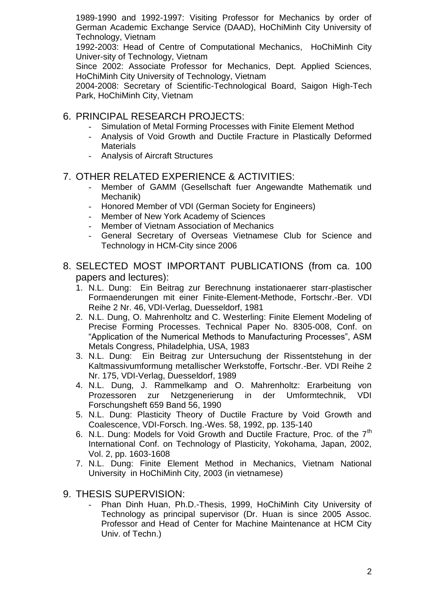1989-1990 and 1992-1997: Visiting Professor for Mechanics by order of German Academic Exchange Service (DAAD), HoChiMinh City University of Technology, Vietnam

1992-2003: Head of Centre of Computational Mechanics, HoChiMinh City Univer-sity of Technology, Vietnam

Since 2002: Associate Professor for Mechanics, Dept. Applied Sciences, HoChiMinh City University of Technology, Vietnam

2004-2008: Secretary of Scientific-Technological Board, Saigon High-Tech Park, HoChiMinh City, Vietnam

- 6. PRINCIPAL RESEARCH PROJECTS:
	- Simulation of Metal Forming Processes with Finite Element Method
	- Analysis of Void Growth and Ductile Fracture in Plastically Deformed **Materials**
	- Analysis of Aircraft Structures

#### 7. OTHER RELATED EXPERIENCE & ACTIVITIES:

- Member of GAMM (Gesellschaft fuer Angewandte Mathematik und Mechanik)
- Honored Member of VDI (German Society for Engineers)
- Member of New York Academy of Sciences
- Member of Vietnam Association of Mechanics
- General Secretary of Overseas Vietnamese Club for Science and Technology in HCM-City since 2006
- 8. SELECTED MOST IMPORTANT PUBLICATIONS (from ca. 100 papers and lectures):
	- 1. N.L. Dung: Ein Beitrag zur Berechnung instationaerer starr-plastischer Formaenderungen mit einer Finite-Element-Methode, Fortschr.-Ber. VDI Reihe 2 Nr. 46, VDI-Verlag, Duesseldorf, 1981
	- 2. N.L. Dung, O. Mahrenholtz and C. Westerling: Finite Element Modeling of Precise Forming Processes. Technical Paper No. 8305-008, Conf. on "Application of the Numerical Methods to Manufacturing Processes", ASM Metals Congress, Philadelphia, USA, 1983
	- 3. N.L. Dung: Ein Beitrag zur Untersuchung der Rissentstehung in der Kaltmassivumformung metallischer Werkstoffe, Fortschr.-Ber. VDI Reihe 2 Nr. 175, VDI-Verlag, Duesseldorf, 1989
	- 4. N.L. Dung, J. Rammelkamp and O. Mahrenholtz: Erarbeitung von Prozessoren zur Netzgenerierung in der Umformtechnik, VDI Forschungsheft 659 Band 56, 1990
	- 5. N.L. Dung: Plasticity Theory of Ductile Fracture by Void Growth and Coalescence, VDI-Forsch. Ing.-Wes. 58, 1992, pp. 135-140
	- 6. N.L. Dung: Models for Void Growth and Ductile Fracture, Proc. of the 7<sup>th</sup> International Conf. on Technology of Plasticity, Yokohama, Japan, 2002, Vol. 2, pp. 1603-1608
	- 7. N.L. Dung: Finite Element Method in Mechanics, Vietnam National University in HoChiMinh City, 2003 (in vietnamese)
- 9. THESIS SUPERVISION:
	- Phan Dinh Huan, Ph.D.-Thesis, 1999, HoChiMinh City University of Technology as principal supervisor (Dr. Huan is since 2005 Assoc. Professor and Head of Center for Machine Maintenance at HCM City Univ. of Techn.)